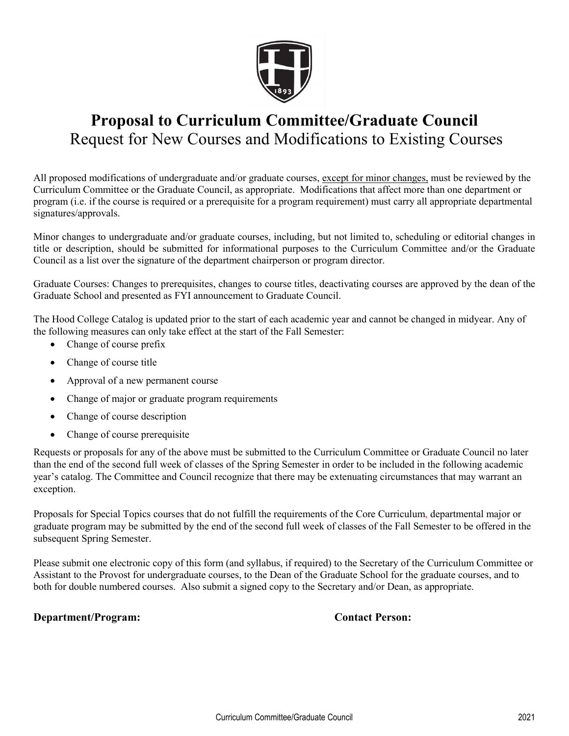

# **Proposal to Curriculum Committee/Graduate Council** Request for New Courses and Modifications to Existing Courses

All proposed modifications of undergraduate and/or graduate courses, except for minor changes, must be reviewed by the Curriculum Committee or the Graduate Council, as appropriate. Modifications that affect more than one department or program (i.e. if the course is required or a prerequisite for a program requirement) must carry all appropriate departmental signatures/approvals.

Minor changes to undergraduate and/or graduate courses, including, but not limited to, scheduling or editorial changes in title or description, should be submitted for informational purposes to the Curriculum Committee and/or the Graduate Council as a list over the signature of the department chairperson or program director.

Graduate Courses: Changes to prerequisites, changes to course titles, deactivating courses are approved by the dean of the Graduate School and presented as FYI announcement to Graduate Council.

The Hood College Catalog is updated prior to the start of each academic year and cannot be changed in midyear. Any of the following measures can only take effect at the start of the Fall Semester:

- Change of course prefix
- Change of course title
- Approval of a new permanent course
- Change of major or graduate program requirements
- Change of course description
- Change of course prerequisite

Requests or proposals for any of the above must be submitted to the Curriculum Committee or Graduate Council no later than the end of the second full week of classes of the Spring Semester in order to be included in the following academic year's catalog. The Committee and Council recognize that there may be extenuating circumstances that may warrant an exception.

Proposals for Special Topics courses that do not fulfill the requirements of the Core Curriculum, departmental major or graduate program may be submitted by the end of the second full week of classes of the Fall Semester to be offered in the subsequent Spring Semester.

Please submit one electronic copy of this form (and syllabus, if required) to the Secretary of the Curriculum Committee or Assistant to the Provost for undergraduate courses, to the Dean of the Graduate School for the graduate courses, and to both for double numbered courses. Also submit a signed copy to the Secretary and/or Dean, as appropriate.

### **Department/Program: Contact Person:**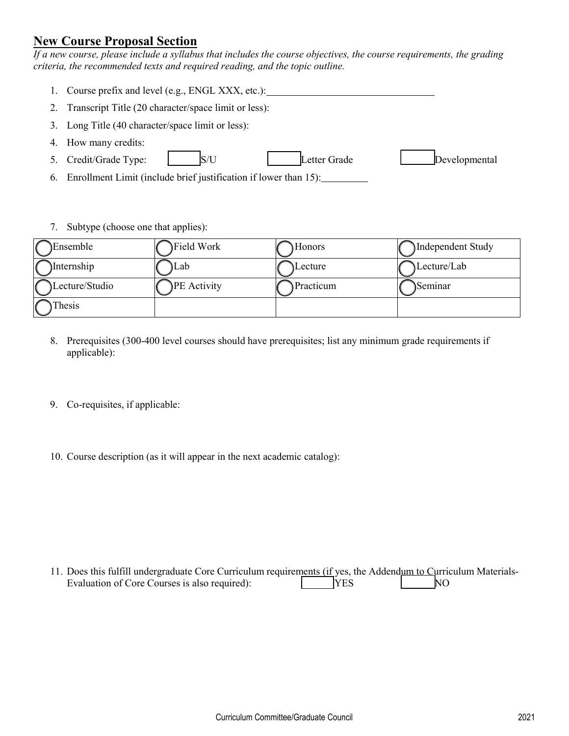# **New Course Proposal Section**

*If a new course, please include a syllabus that includes the course objectives, the course requirements, the grading criteria, the recommended texts and required reading, and the topic outline.* 

- 1. Course prefix and level (e.g., ENGL XXX, etc.): 2. Transcript Title (20 character/space limit or less): 3. Long Title (40 character/space limit or less): 4. How many credits: 5. Credit/Grade Type: S/U S/U Letter Grade Developmental 6. Enrollment Limit (include brief justification if lower than 15):
- 7. Subtype (choose one that applies):

| Ensemble       | Field Work         | Honors    | Independent Study |
|----------------|--------------------|-----------|-------------------|
| Internship     | Lab                | Lecture   | Lecture/Lab       |
| Lecture/Studio | <b>PE</b> Activity | Practicum | Seminar           |
| Thesis         |                    |           |                   |

- 8. Prerequisites (300-400 level courses should have prerequisites; list any minimum grade requirements if applicable):
- 9. Co-requisites, if applicable:
- 10. Course description (as it will appear in the next academic catalog):

11. Does this fulfill undergraduate Core Curriculum requirements (if yes, the Addendum to Curriculum Materials-Evaluation of Core Courses is also required): YES NO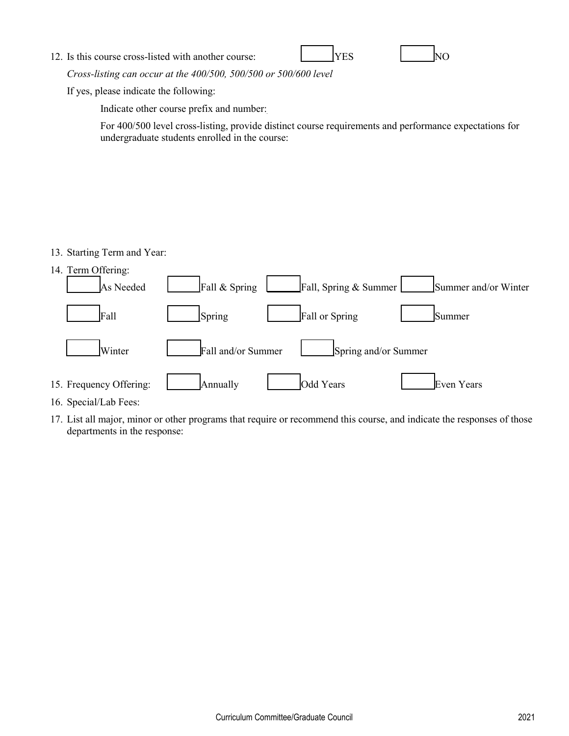12. Is this course cross-listed with another course:  $\parallel$  YES NO



*Cross-listing can occur at the 400/500, 500/500 or 500/600 level*

If yes, please indicate the following:

Indicate other course prefix and number:

For 400/500 level cross-listing, provide distinct course requirements and performance expectations for undergraduate students enrolled in the course:

#### 13. Starting Term and Year:

14. Term Offering:

| $17.$ TUTH OTIVITIE.    |                                                                         |
|-------------------------|-------------------------------------------------------------------------|
| As Needed               | Fall, Spring & Summer<br>$\left[$ Fall & Spring<br>Summer and/or Winter |
| Fall                    | Fall or Spring<br>Spring<br>Summer                                      |
| Winter                  | Fall and/or Summer<br>Spring and/or Summer                              |
| 15. Frequency Offering: | Odd Years<br>Annually<br>Even Years                                     |

- 16. Special/Lab Fees:
- 17. List all major, minor or other programs that require or recommend this course, and indicate the responses of those departments in the response: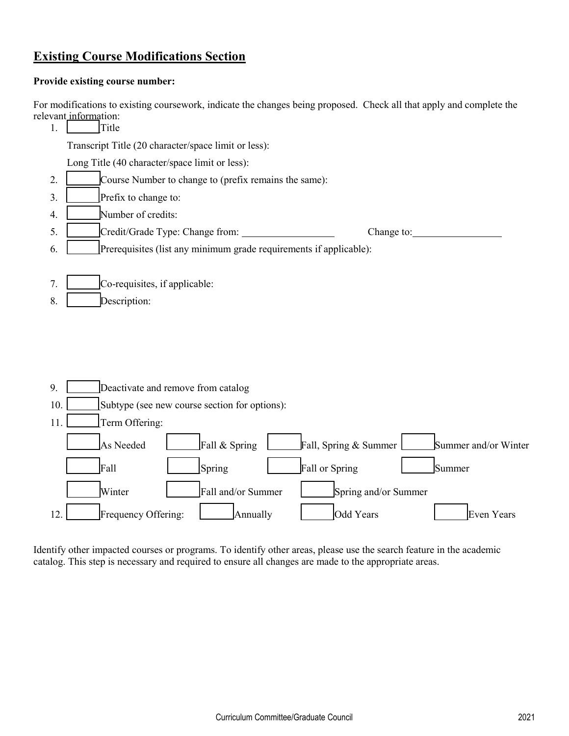# **Existing Course Modifications Section**

#### **Provide existing course number:**

For modifications to existing coursework, indicate the changes being proposed. Check all that apply and complete the relevant information:<br>1.  $\boxed{\phantom{\begin{bmatrix} 1 \end{bmatrix}}$  Title

**Title** 

Transcript Title (20 character/space limit or less):

Long Title (40 character/space limit or less):

- 2. Course Number to change to (prefix remains the same): 3. Prefix to change to:
- 4. Number of credits:
- 5. Credit/Grade Type: Change from: Change to:
- 6. **Prerequisites (list any minimum grade requirements if applicable):**
- 7. Co-requisites, if applicable:
- 8. Description:



Identify other impacted courses or programs. To identify other areas, please use the search feature in the academic catalog. This step is necessary and required to ensure all changes are made to the appropriate areas.